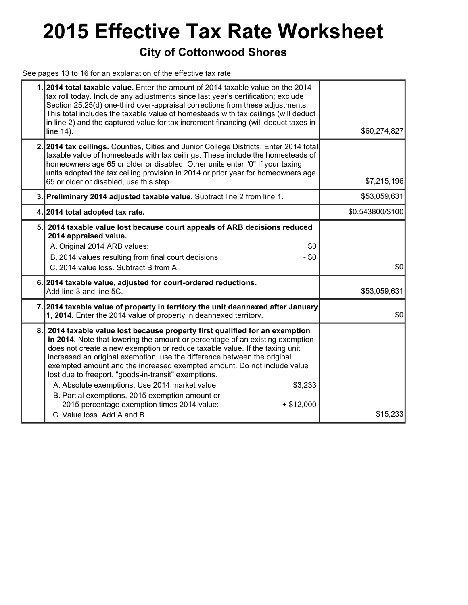## **2015 Effective Tax Rate Worksheet**

### **City of Cottonwood Shores**

See pages 13 to 16 for an explanation of the effective tax rate.

|    | 1. 2014 total taxable value. Enter the amount of 2014 taxable value on the 2014<br>tax roll today. Include any adjustments since last year's certification; exclude<br>Section 25.25(d) one-third over-appraisal corrections from these adjustments.<br>This total includes the taxable value of homesteads with tax ceilings (will deduct<br>in line 2) and the captured value for tax increment financing (will deduct taxes in<br>line 14).                                                                                                                                                                                                                        | \$60,274,827     |
|----|-----------------------------------------------------------------------------------------------------------------------------------------------------------------------------------------------------------------------------------------------------------------------------------------------------------------------------------------------------------------------------------------------------------------------------------------------------------------------------------------------------------------------------------------------------------------------------------------------------------------------------------------------------------------------|------------------|
|    | 2. 2014 tax ceilings. Counties, Cities and Junior College Districts. Enter 2014 total<br>taxable value of homesteads with tax ceilings. These include the homesteads of<br>homeowners age 65 or older or disabled. Other units enter "0" If your taxing<br>units adopted the tax ceiling provision in 2014 or prior year for homeowners age<br>65 or older or disabled, use this step.                                                                                                                                                                                                                                                                                | \$7,215,196      |
|    | 3. Preliminary 2014 adjusted taxable value. Subtract line 2 from line 1.                                                                                                                                                                                                                                                                                                                                                                                                                                                                                                                                                                                              | \$53,059,631     |
|    | 4. 2014 total adopted tax rate.                                                                                                                                                                                                                                                                                                                                                                                                                                                                                                                                                                                                                                       | \$0.543800/\$100 |
| 5. | 2014 taxable value lost because court appeals of ARB decisions reduced<br>2014 appraised value.<br>A. Original 2014 ARB values:<br>\$0<br>B. 2014 values resulting from final court decisions:<br>$- $0$<br>C. 2014 value loss. Subtract B from A.                                                                                                                                                                                                                                                                                                                                                                                                                    | \$0              |
|    | 6. 2014 taxable value, adjusted for court-ordered reductions.<br>Add line 3 and line 5C.                                                                                                                                                                                                                                                                                                                                                                                                                                                                                                                                                                              | \$53,059,631     |
|    | 7. 2014 taxable value of property in territory the unit deannexed after January<br>1, 2014. Enter the 2014 value of property in deannexed territory.                                                                                                                                                                                                                                                                                                                                                                                                                                                                                                                  | \$0              |
| 8. | 2014 taxable value lost because property first qualified for an exemption<br>in 2014. Note that lowering the amount or percentage of an existing exemption<br>does not create a new exemption or reduce taxable value. If the taxing unit<br>increased an original exemption, use the difference between the original<br>exempted amount and the increased exempted amount. Do not include value<br>lost due to freeport, "goods-in-transit" exemptions.<br>A. Absolute exemptions. Use 2014 market value:<br>\$3,233<br>B. Partial exemptions. 2015 exemption amount or<br>2015 percentage exemption times 2014 value:<br>$+ $12,000$<br>C. Value loss, Add A and B. | \$15,233         |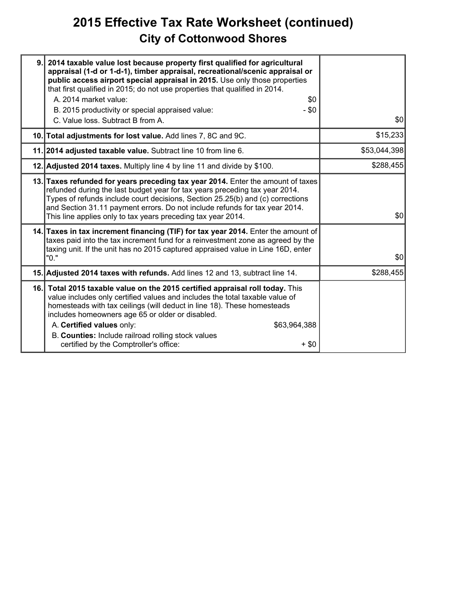## **2015 Effective Tax Rate Worksheet (continued) City of Cottonwood Shores**

| 9. 2014 taxable value lost because property first qualified for agricultural<br>appraisal (1-d or 1-d-1), timber appraisal, recreational/scenic appraisal or<br>public access airport special appraisal in 2015. Use only those properties<br>that first qualified in 2015; do not use properties that qualified in 2014.<br>A. 2014 market value:<br>\$0<br>B. 2015 productivity or special appraised value:<br>$-$ \$0<br>C. Value loss. Subtract B from A. | \$0          |
|---------------------------------------------------------------------------------------------------------------------------------------------------------------------------------------------------------------------------------------------------------------------------------------------------------------------------------------------------------------------------------------------------------------------------------------------------------------|--------------|
| 10. Total adjustments for lost value. Add lines 7, 8C and 9C.                                                                                                                                                                                                                                                                                                                                                                                                 | \$15,233     |
| 11. 2014 adjusted taxable value. Subtract line 10 from line 6.                                                                                                                                                                                                                                                                                                                                                                                                | \$53,044,398 |
| 12. Adjusted 2014 taxes. Multiply line 4 by line 11 and divide by \$100.                                                                                                                                                                                                                                                                                                                                                                                      | \$288,455    |
| 13. Taxes refunded for years preceding tax year 2014. Enter the amount of taxes<br>refunded during the last budget year for tax years preceding tax year 2014.<br>Types of refunds include court decisions, Section 25.25(b) and (c) corrections<br>and Section 31.11 payment errors. Do not include refunds for tax year 2014.<br>This line applies only to tax years preceding tax year 2014.                                                               | \$0          |
| 14. Taxes in tax increment financing (TIF) for tax year 2014. Enter the amount of<br>taxes paid into the tax increment fund for a reinvestment zone as agreed by the<br>taxing unit. If the unit has no 2015 captured appraised value in Line 16D, enter<br>"0."                                                                                                                                                                                              | \$0          |
| 15. Adjusted 2014 taxes with refunds. Add lines 12 and 13, subtract line 14.                                                                                                                                                                                                                                                                                                                                                                                  | \$288,455    |
| 16. Total 2015 taxable value on the 2015 certified appraisal roll today. This<br>value includes only certified values and includes the total taxable value of<br>homesteads with tax ceilings (will deduct in line 18). These homesteads<br>includes homeowners age 65 or older or disabled.<br>A. Certified values only:<br>\$63,964,388<br>B. Counties: Include railroad rolling stock values<br>certified by the Comptroller's office:<br>$+$ \$0          |              |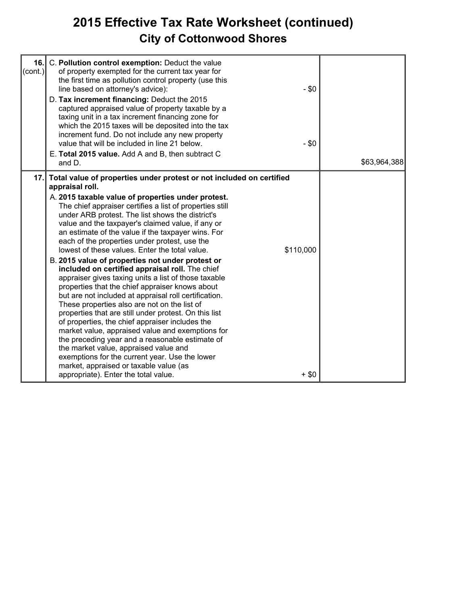## **2015 Effective Tax Rate Worksheet (continued) City of Cottonwood Shores**

| 16.I<br>(cont.) | C. Pollution control exemption: Deduct the value<br>of property exempted for the current tax year for<br>the first time as pollution control property (use this<br>line based on attorney's advice):<br>D. Tax increment financing: Deduct the 2015<br>captured appraised value of property taxable by a<br>taxing unit in a tax increment financing zone for<br>which the 2015 taxes will be deposited into the tax<br>increment fund. Do not include any new property<br>value that will be included in line 21 below.<br>E. Total 2015 value. Add A and B, then subtract C<br>and D.                                                                                                                                                                                                                                                                                                                                                                                                                                                                                                                                                                                                                | $-$ \$0<br>$- $0$    | \$63,964,388 |
|-----------------|--------------------------------------------------------------------------------------------------------------------------------------------------------------------------------------------------------------------------------------------------------------------------------------------------------------------------------------------------------------------------------------------------------------------------------------------------------------------------------------------------------------------------------------------------------------------------------------------------------------------------------------------------------------------------------------------------------------------------------------------------------------------------------------------------------------------------------------------------------------------------------------------------------------------------------------------------------------------------------------------------------------------------------------------------------------------------------------------------------------------------------------------------------------------------------------------------------|----------------------|--------------|
| 17.             | Total value of properties under protest or not included on certified<br>appraisal roll.<br>A. 2015 taxable value of properties under protest.<br>The chief appraiser certifies a list of properties still<br>under ARB protest. The list shows the district's<br>value and the taxpayer's claimed value, if any or<br>an estimate of the value if the taxpayer wins. For<br>each of the properties under protest, use the<br>lowest of these values. Enter the total value.<br>B. 2015 value of properties not under protest or<br>included on certified appraisal roll. The chief<br>appraiser gives taxing units a list of those taxable<br>properties that the chief appraiser knows about<br>but are not included at appraisal roll certification.<br>These properties also are not on the list of<br>properties that are still under protest. On this list<br>of properties, the chief appraiser includes the<br>market value, appraised value and exemptions for<br>the preceding year and a reasonable estimate of<br>the market value, appraised value and<br>exemptions for the current year. Use the lower<br>market, appraised or taxable value (as<br>appropriate). Enter the total value. | \$110,000<br>$+$ \$0 |              |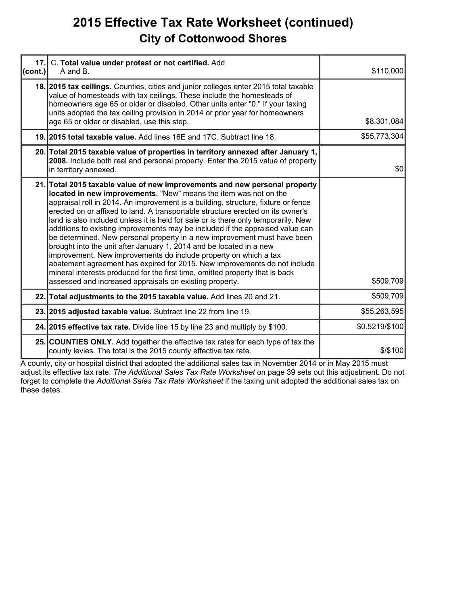## **2015 Effective Tax Rate Worksheet (continued) City of Cottonwood Shores**

| 17.1<br>(cont.) | C. Total value under protest or not certified. Add<br>A and B.                                                                                                                                                                                                                                                                                                                                                                                                                                                                                                                                                                                                                                                                                                                                                                                                                                                                               | \$110,000      |
|-----------------|----------------------------------------------------------------------------------------------------------------------------------------------------------------------------------------------------------------------------------------------------------------------------------------------------------------------------------------------------------------------------------------------------------------------------------------------------------------------------------------------------------------------------------------------------------------------------------------------------------------------------------------------------------------------------------------------------------------------------------------------------------------------------------------------------------------------------------------------------------------------------------------------------------------------------------------------|----------------|
|                 | 18. 2015 tax cellings. Counties, cities and junior colleges enter 2015 total taxable<br>value of homesteads with tax ceilings. These include the homesteads of<br>homeowners age 65 or older or disabled. Other units enter "0." If your taxing<br>units adopted the tax ceiling provision in 2014 or prior year for homeowners<br>age 65 or older or disabled, use this step.                                                                                                                                                                                                                                                                                                                                                                                                                                                                                                                                                               | \$8,301,084    |
|                 | 19. 2015 total taxable value. Add lines 16E and 17C. Subtract line 18.                                                                                                                                                                                                                                                                                                                                                                                                                                                                                                                                                                                                                                                                                                                                                                                                                                                                       | \$55,773,304   |
|                 | 20. Total 2015 taxable value of properties in territory annexed after January 1,<br>2008. Include both real and personal property. Enter the 2015 value of property<br>in territory annexed.                                                                                                                                                                                                                                                                                                                                                                                                                                                                                                                                                                                                                                                                                                                                                 | \$0            |
|                 | 21. Total 2015 taxable value of new improvements and new personal property<br>located in new improvements. "New" means the item was not on the<br>appraisal roll in 2014. An improvement is a building, structure, fixture or fence<br>erected on or affixed to land. A transportable structure erected on its owner's<br>land is also included unless it is held for sale or is there only temporarily. New<br>additions to existing improvements may be included if the appraised value can<br>be determined. New personal property in a new improvement must have been<br>brought into the unit after January 1, 2014 and be located in a new<br>improvement. New improvements do include property on which a tax<br>abatement agreement has expired for 2015. New improvements do not include<br>mineral interests produced for the first time, omitted property that is back<br>assessed and increased appraisals on existing property. | \$509,709      |
|                 | 22. Total adjustments to the 2015 taxable value. Add lines 20 and 21.                                                                                                                                                                                                                                                                                                                                                                                                                                                                                                                                                                                                                                                                                                                                                                                                                                                                        | \$509,709      |
|                 | 23. 2015 adjusted taxable value. Subtract line 22 from line 19.                                                                                                                                                                                                                                                                                                                                                                                                                                                                                                                                                                                                                                                                                                                                                                                                                                                                              | \$55,263,595   |
|                 | 24. 2015 effective tax rate. Divide line 15 by line 23 and multiply by \$100.                                                                                                                                                                                                                                                                                                                                                                                                                                                                                                                                                                                                                                                                                                                                                                                                                                                                | \$0.5219/\$100 |
|                 | 25. COUNTIES ONLY. Add together the effective tax rates for each type of tax the<br>county levies. The total is the 2015 county effective tax rate.                                                                                                                                                                                                                                                                                                                                                                                                                                                                                                                                                                                                                                                                                                                                                                                          | \$/\$100       |

A county, city or hospital district that adopted the additional sales tax in November 2014 or in May 2015 must adjust its effective tax rate. *The Additional Sales Tax Rate Worksheet* on page 39 sets out this adjustment. Do not forget to complete the *Additional Sales Tax Rate Worksheet* if the taxing unit adopted the additional sales tax on these dates.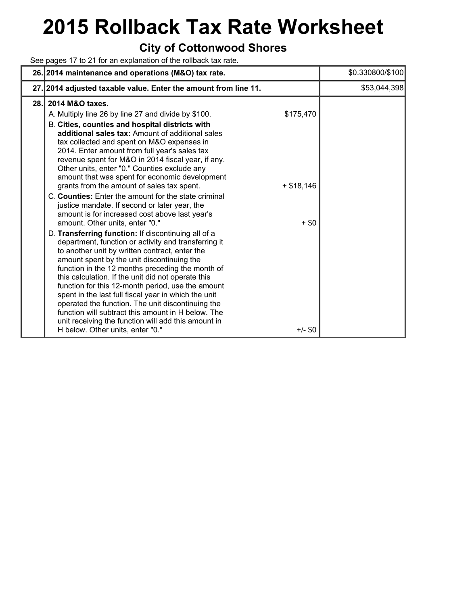# **2015 Rollback Tax Rate Worksheet**

### **City of Cottonwood Shores**

See pages 17 to 21 for an explanation of the rollback tax rate.

|     | 26. 2014 maintenance and operations (M&O) tax rate.                                                                                                                                                                                                                                                                                                                                                                                                                                                                                                                                                                                                                                                                                                                                                                                                                                                                                                                                                                                               | \$0.330800/\$100 |
|-----|---------------------------------------------------------------------------------------------------------------------------------------------------------------------------------------------------------------------------------------------------------------------------------------------------------------------------------------------------------------------------------------------------------------------------------------------------------------------------------------------------------------------------------------------------------------------------------------------------------------------------------------------------------------------------------------------------------------------------------------------------------------------------------------------------------------------------------------------------------------------------------------------------------------------------------------------------------------------------------------------------------------------------------------------------|------------------|
|     | 27. 2014 adjusted taxable value. Enter the amount from line 11.                                                                                                                                                                                                                                                                                                                                                                                                                                                                                                                                                                                                                                                                                                                                                                                                                                                                                                                                                                                   | \$53,044,398     |
| 28. | 2014 M&O taxes.<br>A. Multiply line 26 by line 27 and divide by \$100.<br>\$175,470<br>B. Cities, counties and hospital districts with<br>additional sales tax: Amount of additional sales<br>tax collected and spent on M&O expenses in<br>2014. Enter amount from full year's sales tax<br>revenue spent for M&O in 2014 fiscal year, if any.<br>Other units, enter "0." Counties exclude any<br>amount that was spent for economic development<br>grants from the amount of sales tax spent.<br>$+$ \$18,146<br>C. Counties: Enter the amount for the state criminal<br>justice mandate. If second or later year, the<br>amount is for increased cost above last year's<br>amount. Other units, enter "0."<br>$+$ \$0<br>D. Transferring function: If discontinuing all of a<br>department, function or activity and transferring it<br>to another unit by written contract, enter the<br>amount spent by the unit discontinuing the<br>function in the 12 months preceding the month of<br>this calculation. If the unit did not operate this |                  |
|     | function for this 12-month period, use the amount<br>spent in the last full fiscal year in which the unit<br>operated the function. The unit discontinuing the<br>function will subtract this amount in H below. The<br>unit receiving the function will add this amount in<br>H below. Other units, enter "0."<br>$+/-$ \$0                                                                                                                                                                                                                                                                                                                                                                                                                                                                                                                                                                                                                                                                                                                      |                  |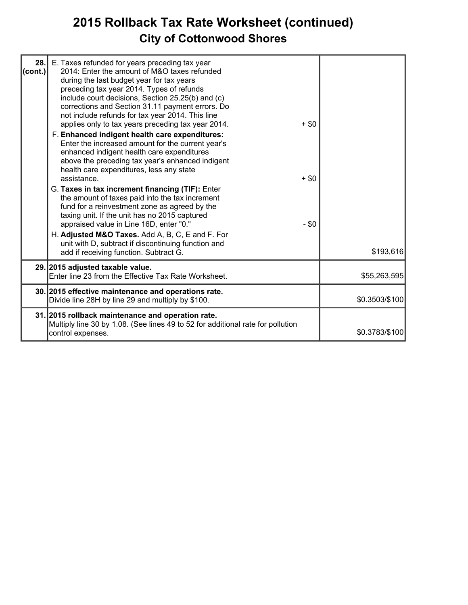## **2015 Rollback Tax Rate Worksheet (continued) City of Cottonwood Shores**

| 28.<br>(cont.) | E. Taxes refunded for years preceding tax year<br>2014: Enter the amount of M&O taxes refunded<br>during the last budget year for tax years<br>preceding tax year 2014. Types of refunds<br>include court decisions, Section 25.25(b) and (c)<br>corrections and Section 31.11 payment errors. Do                                                                                                                    |                   |                |
|----------------|----------------------------------------------------------------------------------------------------------------------------------------------------------------------------------------------------------------------------------------------------------------------------------------------------------------------------------------------------------------------------------------------------------------------|-------------------|----------------|
|                | not include refunds for tax year 2014. This line<br>applies only to tax years preceding tax year 2014.<br>F. Enhanced indigent health care expenditures:<br>Enter the increased amount for the current year's<br>enhanced indigent health care expenditures<br>above the preceding tax year's enhanced indigent<br>health care expenditures, less any state                                                          | $+$ \$0           |                |
|                | assistance.<br>G. Taxes in tax increment financing (TIF): Enter<br>the amount of taxes paid into the tax increment<br>fund for a reinvestment zone as agreed by the<br>taxing unit. If the unit has no 2015 captured<br>appraised value in Line 16D, enter "0."<br>H. Adjusted M&O Taxes. Add A, B, C, E and F. For<br>unit with D, subtract if discontinuing function and<br>add if receiving function. Subtract G. | $+$ \$0<br>$- $0$ | \$193,616      |
|                | 29. 2015 adjusted taxable value.<br>Enter line 23 from the Effective Tax Rate Worksheet.                                                                                                                                                                                                                                                                                                                             |                   | \$55,263,595   |
|                | 30. 2015 effective maintenance and operations rate.<br>Divide line 28H by line 29 and multiply by \$100.                                                                                                                                                                                                                                                                                                             |                   | \$0.3503/\$100 |
|                | 31. 2015 rollback maintenance and operation rate.<br>Multiply line 30 by 1.08. (See lines 49 to 52 for additional rate for pollution<br>control expenses.                                                                                                                                                                                                                                                            |                   | \$0.3783/\$100 |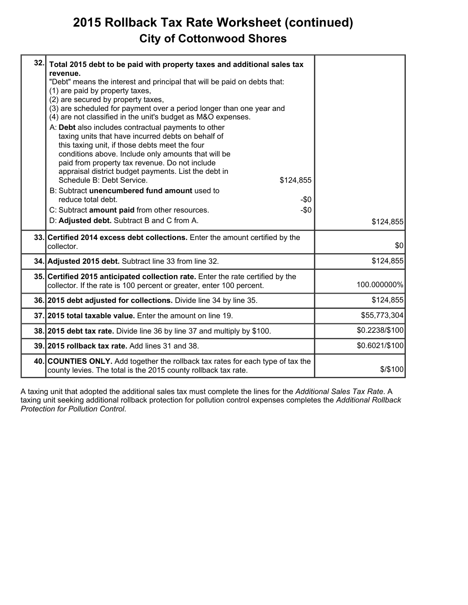## **2015 Rollback Tax Rate Worksheet (continued) City of Cottonwood Shores**

| 32. | Total 2015 debt to be paid with property taxes and additional sales tax<br>revenue.<br>"Debt" means the interest and principal that will be paid on debts that:<br>(1) are paid by property taxes,<br>(2) are secured by property taxes,<br>(3) are scheduled for payment over a period longer than one year and<br>(4) are not classified in the unit's budget as M&O expenses.<br>A: Debt also includes contractual payments to other<br>taxing units that have incurred debts on behalf of<br>this taxing unit, if those debts meet the four<br>conditions above. Include only amounts that will be<br>paid from property tax revenue. Do not include<br>appraisal district budget payments. List the debt in<br>Schedule B: Debt Service.<br>\$124,855<br>B: Subtract unencumbered fund amount used to<br>reduce total debt.<br>-\$0<br>C: Subtract amount paid from other resources.<br>$-\$0$<br>D: Adjusted debt. Subtract B and C from A. | \$124,855      |
|-----|---------------------------------------------------------------------------------------------------------------------------------------------------------------------------------------------------------------------------------------------------------------------------------------------------------------------------------------------------------------------------------------------------------------------------------------------------------------------------------------------------------------------------------------------------------------------------------------------------------------------------------------------------------------------------------------------------------------------------------------------------------------------------------------------------------------------------------------------------------------------------------------------------------------------------------------------------|----------------|
|     | 33. Certified 2014 excess debt collections. Enter the amount certified by the<br>collector.                                                                                                                                                                                                                                                                                                                                                                                                                                                                                                                                                                                                                                                                                                                                                                                                                                                       | \$0            |
|     | 34. Adjusted 2015 debt. Subtract line 33 from line 32.                                                                                                                                                                                                                                                                                                                                                                                                                                                                                                                                                                                                                                                                                                                                                                                                                                                                                            | \$124,855      |
|     | 35. Certified 2015 anticipated collection rate. Enter the rate certified by the<br>collector. If the rate is 100 percent or greater, enter 100 percent.                                                                                                                                                                                                                                                                                                                                                                                                                                                                                                                                                                                                                                                                                                                                                                                           | 100.000000%    |
|     | 36. 2015 debt adjusted for collections. Divide line 34 by line 35.                                                                                                                                                                                                                                                                                                                                                                                                                                                                                                                                                                                                                                                                                                                                                                                                                                                                                | \$124,855      |
|     | 37.12015 total taxable value. Enter the amount on line 19.                                                                                                                                                                                                                                                                                                                                                                                                                                                                                                                                                                                                                                                                                                                                                                                                                                                                                        | \$55,773,304   |
|     | 38. 2015 debt tax rate. Divide line 36 by line 37 and multiply by \$100.                                                                                                                                                                                                                                                                                                                                                                                                                                                                                                                                                                                                                                                                                                                                                                                                                                                                          | \$0.2238/\$100 |
|     | 39. 2015 rollback tax rate. Add lines 31 and 38.                                                                                                                                                                                                                                                                                                                                                                                                                                                                                                                                                                                                                                                                                                                                                                                                                                                                                                  | \$0.6021/\$100 |
|     | 40. COUNTIES ONLY. Add together the rollback tax rates for each type of tax the<br>county levies. The total is the 2015 county rollback tax rate.                                                                                                                                                                                                                                                                                                                                                                                                                                                                                                                                                                                                                                                                                                                                                                                                 | \$/\$100       |

A taxing unit that adopted the additional sales tax must complete the lines for the *Additional Sales Tax Rate*. A taxing unit seeking additional rollback protection for pollution control expenses completes the *Additional Rollback Protection for Pollution Control*.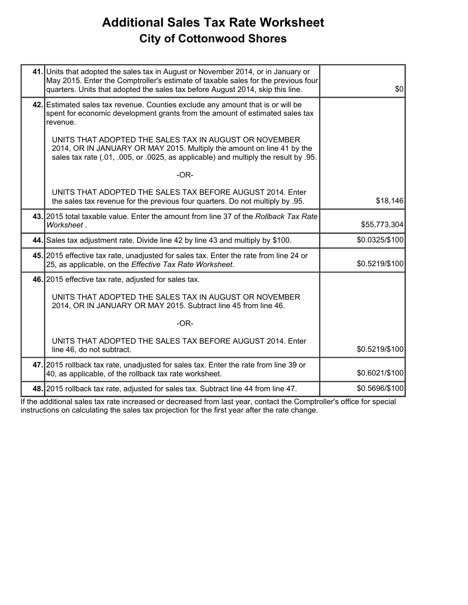## **Additional Sales Tax Rate Worksheet City of Cottonwood Shores**

| 41. Units that adopted the sales tax in August or November 2014, or in January or<br>May 2015. Enter the Comptroller's estimate of taxable sales for the previous four<br>quarters. Units that adopted the sales tax before August 2014, skip this line. | \$0            |
|----------------------------------------------------------------------------------------------------------------------------------------------------------------------------------------------------------------------------------------------------------|----------------|
| 42. Estimated sales tax revenue. Counties exclude any amount that is or will be<br>spent for economic development grants from the amount of estimated sales tax<br>revenue.                                                                              |                |
| UNITS THAT ADOPTED THE SALES TAX IN AUGUST OR NOVEMBER<br>2014, OR IN JANUARY OR MAY 2015. Multiply the amount on line 41 by the<br>sales tax rate (.01, .005, or .0025, as applicable) and multiply the result by .95.                                  |                |
| $-OR-$                                                                                                                                                                                                                                                   |                |
| UNITS THAT ADOPTED THE SALES TAX BEFORE AUGUST 2014. Enter<br>the sales tax revenue for the previous four quarters. Do not multiply by .95.                                                                                                              | \$18,146       |
| 43. 2015 total taxable value. Enter the amount from line 37 of the Rollback Tax Rate<br>Worksheet.                                                                                                                                                       | \$55,773,304   |
| 44. Sales tax adjustment rate. Divide line 42 by line 43 and multiply by \$100.                                                                                                                                                                          | \$0.0325/\$100 |
| 45. 2015 effective tax rate, unadjusted for sales tax. Enter the rate from line 24 or<br>25, as applicable, on the Effective Tax Rate Worksheet.                                                                                                         | \$0.5219/\$100 |
| 46. 2015 effective tax rate, adjusted for sales tax.                                                                                                                                                                                                     |                |
| UNITS THAT ADOPTED THE SALES TAX IN AUGUST OR NOVEMBER<br>2014, OR IN JANUARY OR MAY 2015. Subtract line 45 from line 46.                                                                                                                                |                |
| $-OR-$                                                                                                                                                                                                                                                   |                |
| UNITS THAT ADOPTED THE SALES TAX BEFORE AUGUST 2014. Enter<br>line 46, do not subtract.                                                                                                                                                                  | \$0.5219/\$100 |
| 47. 2015 rollback tax rate, unadjusted for sales tax. Enter the rate from line 39 or<br>40, as applicable, of the rollback tax rate worksheet.                                                                                                           | \$0.6021/\$100 |
| 48. 2015 rollback tax rate, adjusted for sales tax. Subtract line 44 from line 47.                                                                                                                                                                       | \$0.5696/\$100 |
|                                                                                                                                                                                                                                                          |                |

If the additional sales tax rate increased or decreased from last year, contact the Comptroller's office for special instructions on calculating the sales tax projection for the first year after the rate change.